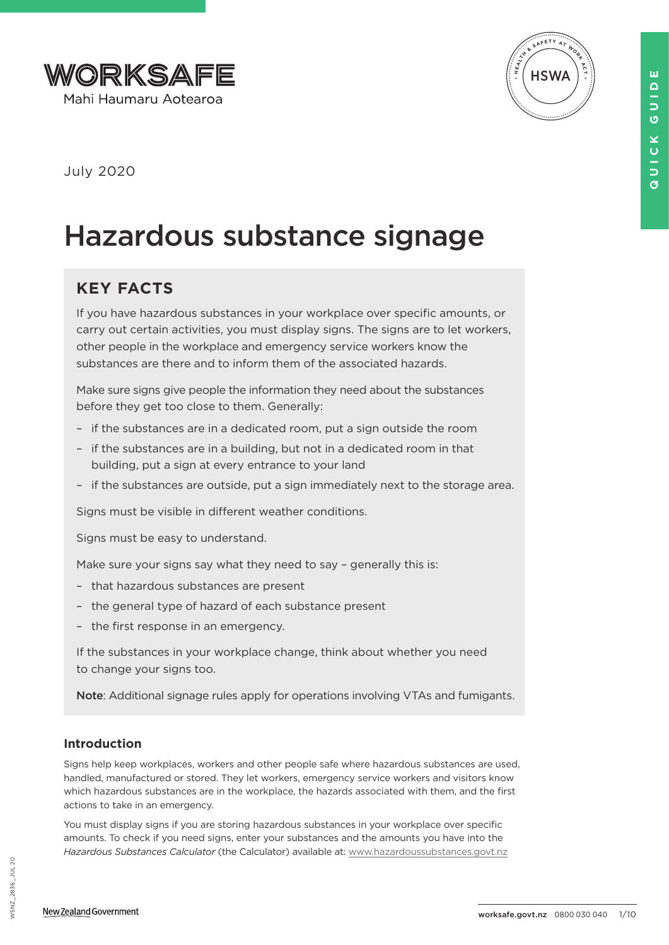



July 2020

# Hazardous substance signage

## **KEY FACTS**

If you have hazardous substances in your workplace over specific amounts, or carry out certain activities, you must display signs. The signs are to let workers, other people in the workplace and emergency service workers know the substances are there and to inform them of the associated hazards.

Make sure signs give people the information they need about the substances before they get too close to them. Generally:

- if the substances are in a dedicated room, put a sign outside the room
- if the substances are in a building, but not in a dedicated room in that building, put a sign at every entrance to your land
- if the substances are outside, put a sign immediately next to the storage area.

Signs must be visible in different weather conditions.

Signs must be easy to understand.

Make sure your signs say what they need to say - generally this is:

- that hazardous substances are present
- the general type of hazard of each substance present
- the first response in an emergency.

If the substances in your workplace change, think about whether you need to change your signs too.

Note: Additional signage rules apply for operations involving VTAs and fumigants.

## **Introduction**

Signs help keep workplaces, workers and other people safe where hazardous substances are used, handled, manufactured or stored. They let workers, emergency service workers and visitors know which hazardous substances are in the workplace, the hazards associated with them, and the first actions to take in an emergency.

You must display signs if you are storing hazardous substances in your workplace over specific amounts. To check if you need signs, enter your substances and the amounts you have into the *Hazardous Substances Calculator* (the Calculator) available at: [www.hazardoussubstances.govt.nz](http://www.hazardoussubstances.govt.nz) **QUICK GUIDE**

×  $\mathbf 0$  $\frac{1}{2}$  $\overline{a}$ 

ш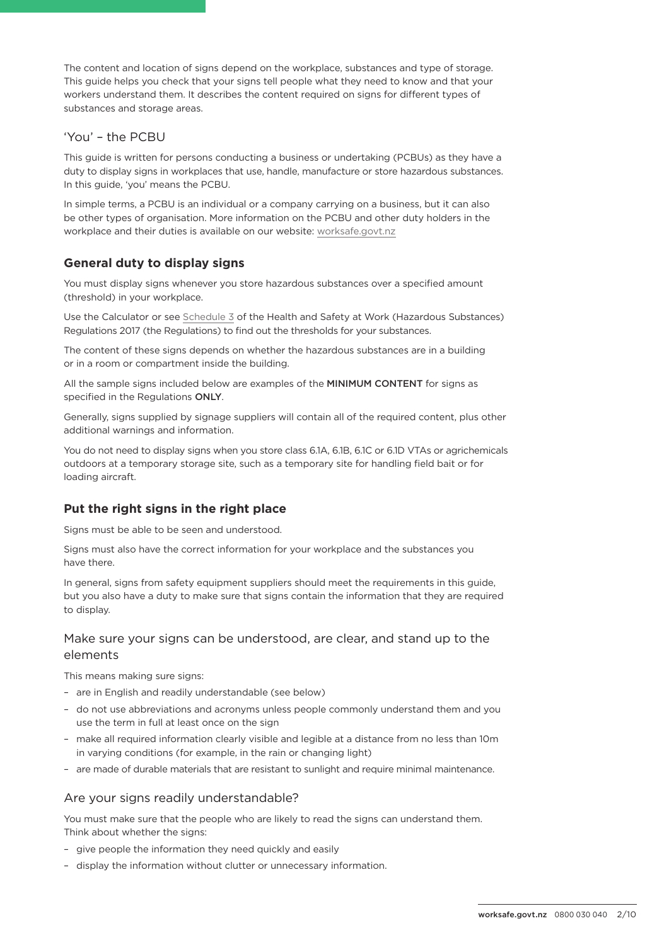The content and location of signs depend on the workplace, substances and type of storage. This guide helps you check that your signs tell people what they need to know and that your workers understand them. It describes the content required on signs for different types of substances and storage areas.

#### 'You' – the PCBU

This guide is written for persons conducting a business or undertaking (PCBUs) as they have a duty to display signs in workplaces that use, handle, manufacture or store hazardous substances. In this guide, 'you' means the PCBU.

In simple terms, a PCBU is an individual or a company carrying on a business, but it can also be other types of organisation. More information on the PCBU and other duty holders in the workplace and their duties is available on our website: [worksafe.govt.nz](http://worksafe.govt.nz)

## **General duty to display signs**

You must display signs whenever you store hazardous substances over a specified amount (threshold) in your workplace.

Use the Calculator or see [Schedule 3](http://www.legislation.govt.nz/regulation/public/2017/0131/latest/DLM7311195.html) of the Health and Safety at Work (Hazardous Substances) Regulations 2017 (the Regulations) to find out the thresholds for your substances.

The content of these signs depends on whether the hazardous substances are in a building or in a room or compartment inside the building.

All the sample signs included below are examples of the MINIMUM CONTENT for signs as specified in the Regulations ONLY.

Generally, signs supplied by signage suppliers will contain all of the required content, plus other additional warnings and information.

You do not need to display signs when you store class 6.1A, 6.1B, 6.1C or 6.1D VTAs or agrichemicals outdoors at a temporary storage site, such as a temporary site for handling field bait or for loading aircraft.

## **Put the right signs in the right place**

Signs must be able to be seen and understood.

Signs must also have the correct information for your workplace and the substances you have there.

In general, signs from safety equipment suppliers should meet the requirements in this guide, but you also have a duty to make sure that signs contain the information that they are required to display.

### Make sure your signs can be understood, are clear, and stand up to the elements

This means making sure signs:

- are in English and readily understandable (see below)
- do not use abbreviations and acronyms unless people commonly understand them and you use the term in full at least once on the sign
- make all required information clearly visible and legible at a distance from no less than 10m in varying conditions (for example, in the rain or changing light)
- are made of durable materials that are resistant to sunlight and require minimal maintenance.

#### Are your signs readily understandable?

You must make sure that the people who are likely to read the signs can understand them. Think about whether the signs:

- give people the information they need quickly and easily
- display the information without clutter or unnecessary information.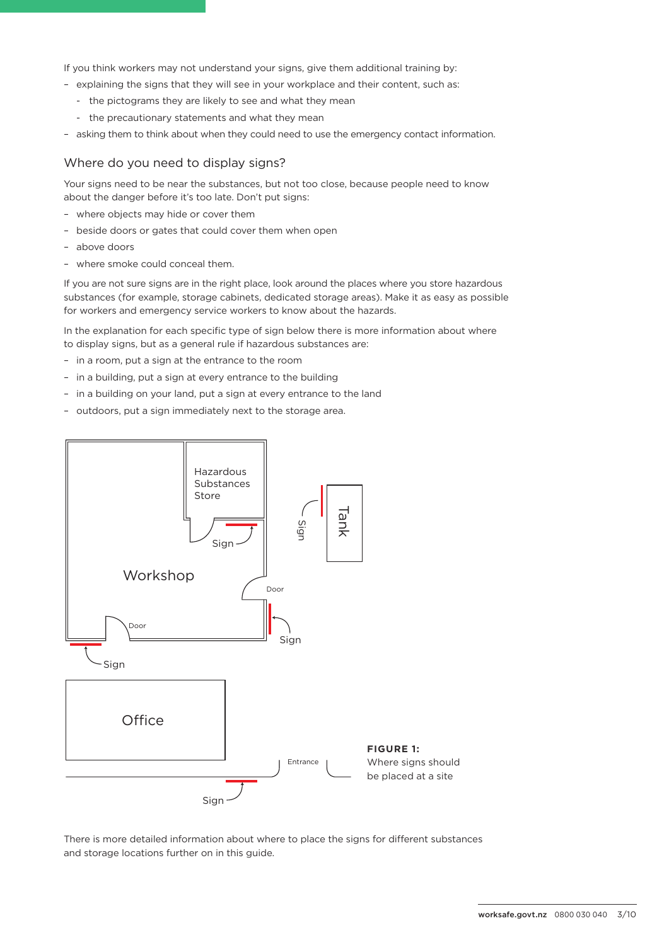If you think workers may not understand your signs, give them additional training by:

- explaining the signs that they will see in your workplace and their content, such as:
	- the pictograms they are likely to see and what they mean
	- the precautionary statements and what they mean
- asking them to think about when they could need to use the emergency contact information.

#### Where do you need to display signs?

Your signs need to be near the substances, but not too close, because people need to know about the danger before it's too late. Don't put signs:

- where objects may hide or cover them
- beside doors or gates that could cover them when open
- above doors
- where smoke could conceal them.

If you are not sure signs are in the right place, look around the places where you store hazardous substances (for example, storage cabinets, dedicated storage areas). Make it as easy as possible for workers and emergency service workers to know about the hazards.

In the explanation for each specific type of sign below there is more information about where to display signs, but as a general rule if hazardous substances are:

- in a room, put a sign at the entrance to the room
- in a building, put a sign at every entrance to the building
- in a building on your land, put a sign at every entrance to the land
- outdoors, put a sign immediately next to the storage area.



There is more detailed information about where to place the signs for different substances and storage locations further on in this guide.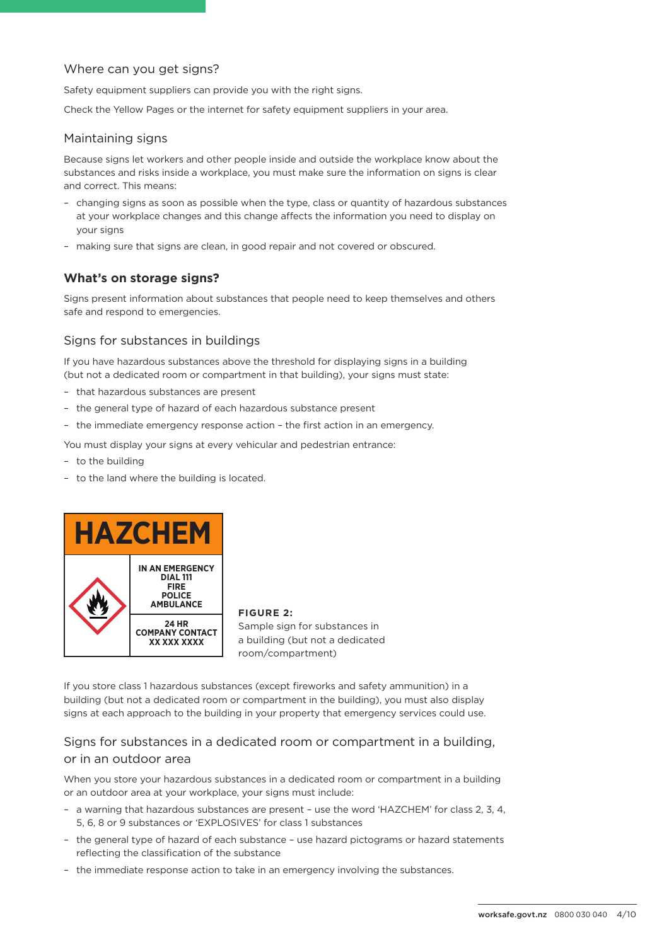#### Where can you get signs?

Safety equipment suppliers can provide you with the right signs.

Check the Yellow Pages or the internet for safety equipment suppliers in your area.

#### Maintaining signs

Because signs let workers and other people inside and outside the workplace know about the substances and risks inside a workplace, you must make sure the information on signs is clear and correct. This means:

- changing signs as soon as possible when the type, class or quantity of hazardous substances at your workplace changes and this change affects the information you need to display on your signs
- making sure that signs are clean, in good repair and not covered or obscured.

#### **What's on storage signs?**

Signs present information about substances that people need to keep themselves and others safe and respond to emergencies.

#### Signs for substances in buildings

If you have hazardous substances above the threshold for displaying signs in a building (but not a dedicated room or compartment in that building), your signs must state:

- that hazardous substances are present
- the general type of hazard of each hazardous substance present
- the immediate emergency response action the first action in an emergency.

You must display your signs at every vehicular and pedestrian entrance:

- to the building
- to the land where the building is located.



**FIGURE 2:** Sample sign for substances in a building (but not a dedicated room/compartment)

If you store class 1 hazardous substances (except fireworks and safety ammunition) in a building (but not a dedicated room or compartment in the building), you must also display signs at each approach to the building in your property that emergency services could use.

## Signs for substances in a dedicated room or compartment in a building, or in an outdoor area

When you store your hazardous substances in a dedicated room or compartment in a building or an outdoor area at your workplace, your signs must include:

- a warning that hazardous substances are present use the word 'HAZCHEM' for class 2, 3, 4, 5, 6, 8 or 9 substances or 'EXPLOSIVES' for class 1 substances
- the general type of hazard of each substance use hazard pictograms or hazard statements reflecting the classification of the substance
- the immediate response action to take in an emergency involving the substances.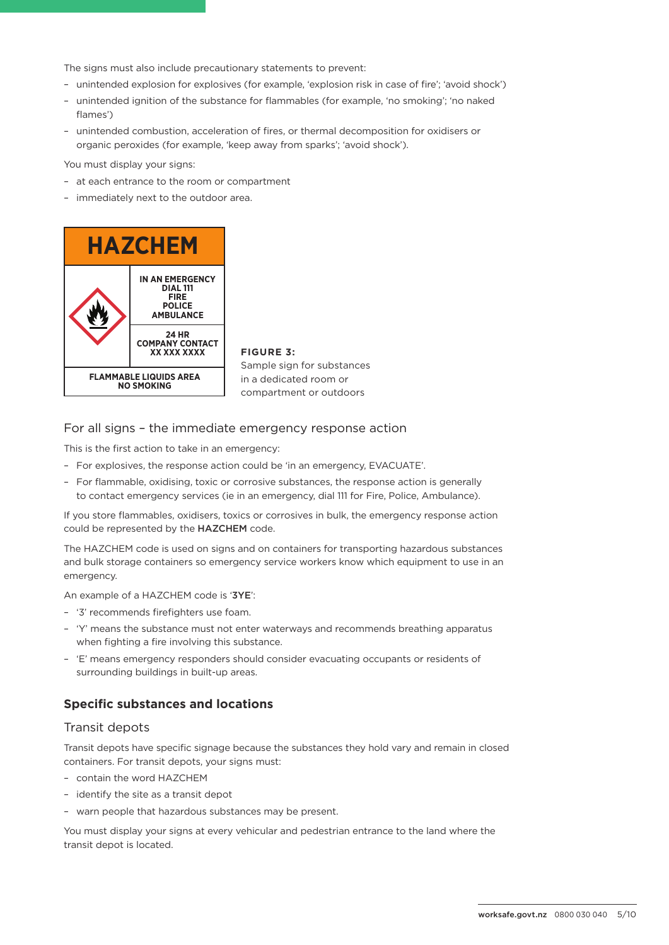The signs must also include precautionary statements to prevent:

- unintended explosion for explosives (for example, 'explosion risk in case of fire'; 'avoid shock')
- unintended ignition of the substance for flammables (for example, 'no smoking'; 'no naked flames')
- unintended combustion, acceleration of fires, or thermal decomposition for oxidisers or organic peroxides (for example, 'keep away from sparks'; 'avoid shock').

You must display your signs:

- at each entrance to the room or compartment
- immediately next to the outdoor area.



**FIGURE 3:**  Sample sign for substances in a dedicated room or compartment or outdoors

#### For all signs – the immediate emergency response action

This is the first action to take in an emergency:

- For explosives, the response action could be 'in an emergency, EVACUATE'.
- For flammable, oxidising, toxic or corrosive substances, the response action is generally to contact emergency services (ie in an emergency, dial 111 for Fire, Police, Ambulance).

If you store flammables, oxidisers, toxics or corrosives in bulk, the emergency response action could be represented by the HAZCHEM code.

The HAZCHEM code is used on signs and on containers for transporting hazardous substances and bulk storage containers so emergency service workers know which equipment to use in an emergency.

An example of a HAZCHEM code is '3YE':

- '3' recommends firefighters use foam.
- 'Y' means the substance must not enter waterways and recommends breathing apparatus when fighting a fire involving this substance.
- 'E' means emergency responders should consider evacuating occupants or residents of surrounding buildings in built-up areas.

#### **Specific substances and locations**

#### Transit depots

Transit depots have specific signage because the substances they hold vary and remain in closed containers. For transit depots, your signs must:

- contain the word HAZCHEM
- identify the site as a transit depot
- warn people that hazardous substances may be present.

You must display your signs at every vehicular and pedestrian entrance to the land where the transit depot is located.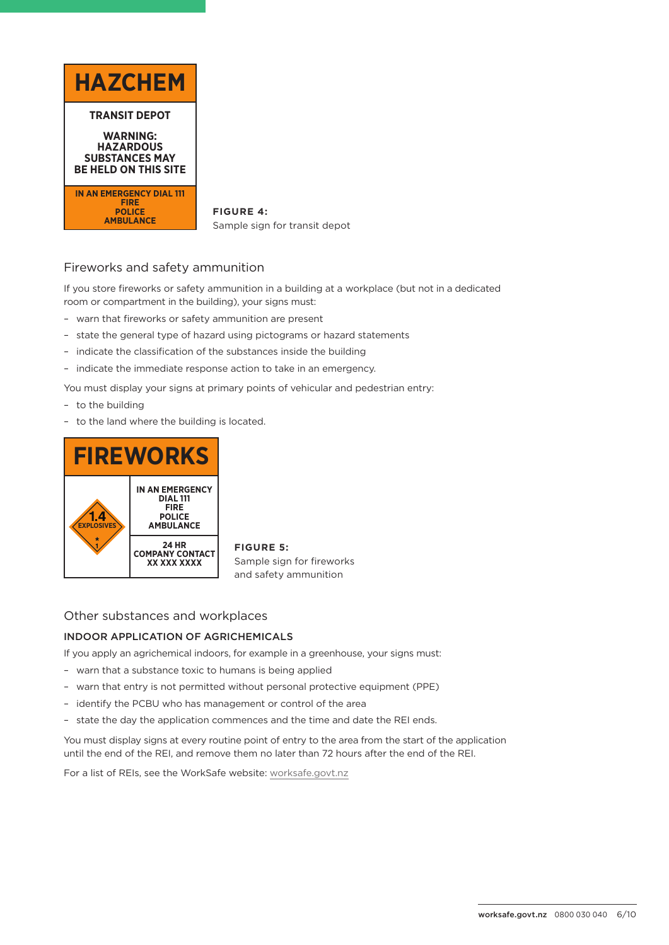

**FIGURE 4:** Sample sign for transit depot

## Fireworks and safety ammunition

If you store fireworks or safety ammunition in a building at a workplace (but not in a dedicated room or compartment in the building), your signs must:

- warn that fireworks or safety ammunition are present
- state the general type of hazard using pictograms or hazard statements
- indicate the classification of the substances inside the building
- indicate the immediate response action to take in an emergency.

You must display your signs at primary points of vehicular and pedestrian entry:

- to the building
- to the land where the building is located.



**FIGURE 5:**  Sample sign for fireworks and safety ammunition

#### Other substances and workplaces

#### INDOOR APPLICATION OF AGRICHEMICALS

If you apply an agrichemical indoors, for example in a greenhouse, your signs must:

- warn that a substance toxic to humans is being applied
- warn that entry is not permitted without personal protective equipment (PPE)
- identify the PCBU who has management or control of the area
- state the day the application commences and the time and date the REI ends.

You must display signs at every routine point of entry to the area from the start of the application until the end of the REI, and remove them no later than 72 hours after the end of the REI.

For a list of REIs, see the WorkSafe website: [worksafe.govt.nz](https://worksafe.govt.nz/laws-and-regulations/restricted-entry-intervals-for-pesticides/)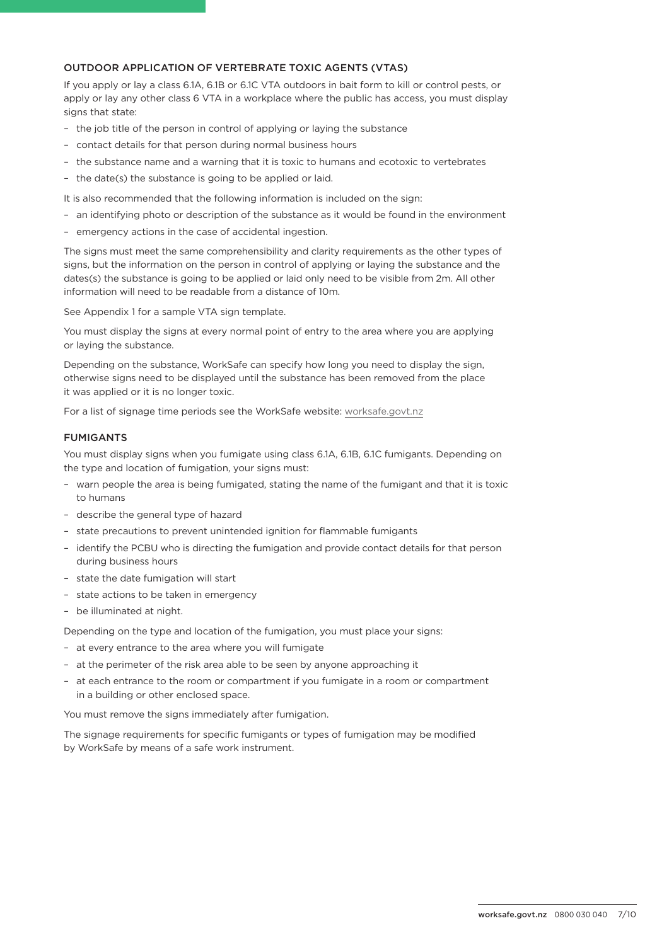#### OUTDOOR APPLICATION OF VERTEBRATE TOXIC AGENTS (VTAS)

If you apply or lay a class 6.1A, 6.1B or 6.1C VTA outdoors in bait form to kill or control pests, or apply or lay any other class 6 VTA in a workplace where the public has access, you must display signs that state:

- the job title of the person in control of applying or laying the substance
- contact details for that person during normal business hours
- the substance name and a warning that it is toxic to humans and ecotoxic to vertebrates
- the date(s) the substance is going to be applied or laid.

It is also recommended that the following information is included on the sign:

- an identifying photo or description of the substance as it would be found in the environment
- emergency actions in the case of accidental ingestion.

The signs must meet the same comprehensibility and clarity requirements as the other types of signs, but the information on the person in control of applying or laying the substance and the dates(s) the substance is going to be applied or laid only need to be visible from 2m. All other information will need to be readable from a distance of 10m.

See Appendix 1 for a sample VTA sign template.

You must display the signs at every normal point of entry to the area where you are applying or laying the substance.

Depending on the substance, WorkSafe can specify how long you need to display the sign, otherwise signs need to be displayed until the substance has been removed from the place it was applied or it is no longer toxic.

For a list of signage time periods see the WorkSafe website: [worksafe.govt.nz](https://worksafe.govt.nz/laws-and-regulations/signage-requirements-for-vertebrate-toxic-agents)

#### FUMIGANTS

You must display signs when you fumigate using class 6.1A, 6.1B, 6.1C fumigants. Depending on the type and location of fumigation, your signs must:

- warn people the area is being fumigated, stating the name of the fumigant and that it is toxic to humans
- describe the general type of hazard
- state precautions to prevent unintended ignition for flammable fumigants
- identify the PCBU who is directing the fumigation and provide contact details for that person during business hours
- state the date fumigation will start
- state actions to be taken in emergency
- be illuminated at night.

Depending on the type and location of the fumigation, you must place your signs:

- at every entrance to the area where you will fumigate
- at the perimeter of the risk area able to be seen by anyone approaching it
- at each entrance to the room or compartment if you fumigate in a room or compartment in a building or other enclosed space.

You must remove the signs immediately after fumigation.

The signage requirements for specific fumigants or types of fumigation may be modified by WorkSafe by means of a safe work instrument.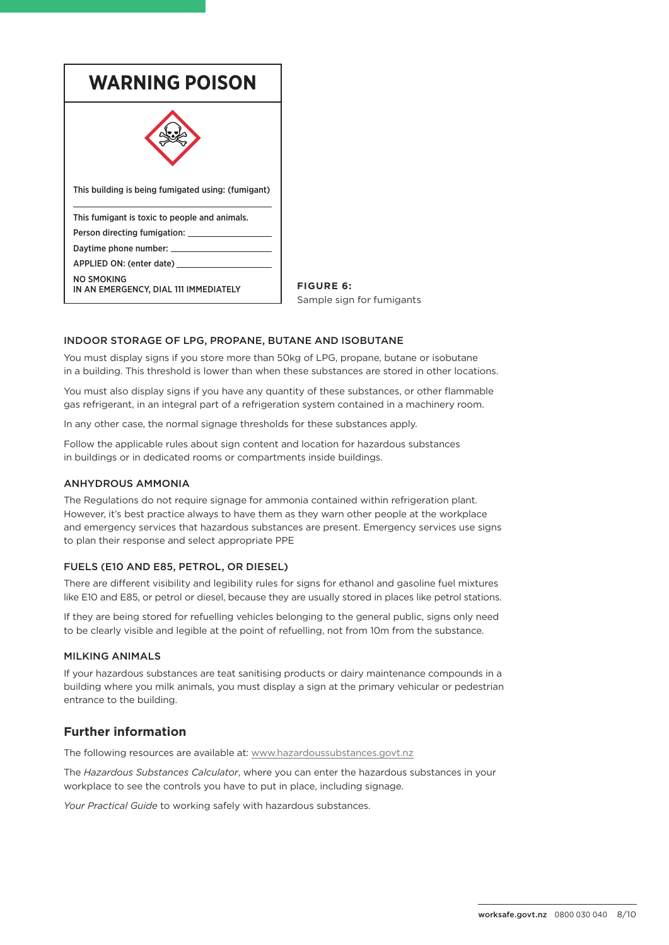| <b>WARNING POISON</b>                               |  |
|-----------------------------------------------------|--|
|                                                     |  |
| This building is being fumigated using: (fumigant)  |  |
| This fumigant is toxic to people and animals.       |  |
| Person directing fumigation: __                     |  |
| Daytime phone number: _                             |  |
| APPLIED ON: (enter date) ______                     |  |
| NO SMOKING<br>IN AN EMERGENCY, DIAL 111 IMMEDIATELY |  |

**FIGURE 6:**  Sample sign for fumigants

#### INDOOR STORAGE OF LPG, PROPANE, BUTANE AND ISOBUTANE

You must display signs if you store more than 50kg of LPG, propane, butane or isobutane in a building. This threshold is lower than when these substances are stored in other locations.

You must also display signs if you have any quantity of these substances, or other flammable gas refrigerant, in an integral part of a refrigeration system contained in a machinery room.

In any other case, the normal signage thresholds for these substances apply.

Follow the applicable rules about sign content and location for hazardous substances in buildings or in dedicated rooms or compartments inside buildings.

#### ANHYDROUS AMMONIA

The Regulations do not require signage for ammonia contained within refrigeration plant. However, it's best practice always to have them as they warn other people at the workplace and emergency services that hazardous substances are present. Emergency services use signs to plan their response and select appropriate PPE

#### FUELS (E10 AND E85, PETROL, OR DIESEL)

There are different visibility and legibility rules for signs for ethanol and gasoline fuel mixtures like E10 and E85, or petrol or diesel, because they are usually stored in places like petrol stations.

If they are being stored for refuelling vehicles belonging to the general public, signs only need to be clearly visible and legible at the point of refuelling, not from 10m from the substance.

#### MILKING ANIMALS

If your hazardous substances are teat sanitising products or dairy maintenance compounds in a building where you milk animals, you must display a sign at the primary vehicular or pedestrian entrance to the building.

#### **Further information**

The following resources are available at: [www.hazardoussubstances.govt.nz](http://www.hazardoussubstances.govt.nz)

The *Hazardous Substances Calculator*, where you can enter the hazardous substances in your workplace to see the controls you have to put in place, including signage.

*Your Practical Guide* to working safely with hazardous substances.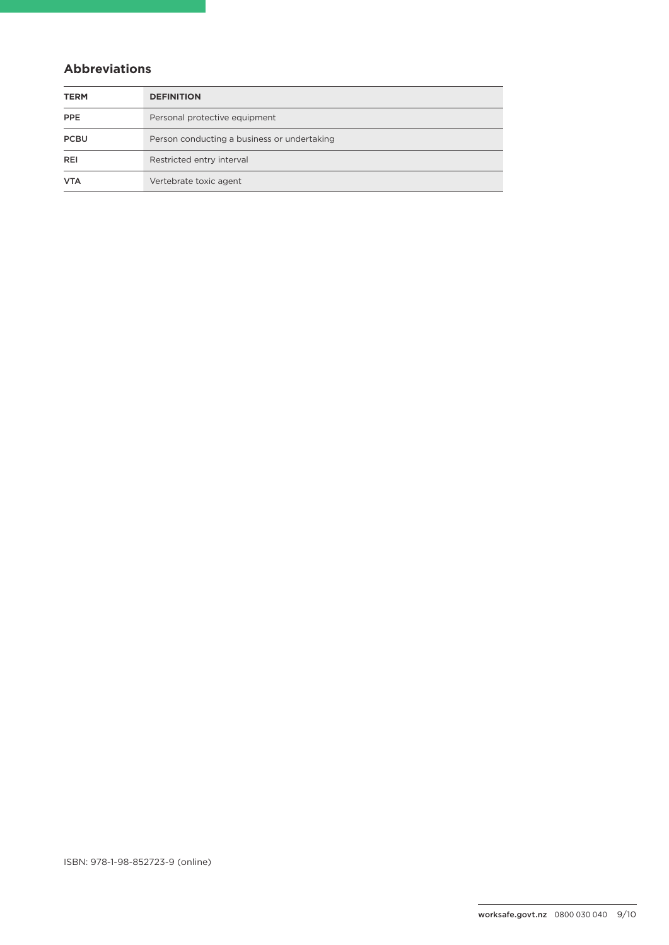## **Abbreviations**

| <b>TERM</b> | <b>DEFINITION</b>                           |
|-------------|---------------------------------------------|
| PPE         | Personal protective equipment               |
| <b>PCBU</b> | Person conducting a business or undertaking |
| REI         | Restricted entry interval                   |
| <b>VTA</b>  | Vertebrate toxic agent                      |

ISBN: 978-1-98-852723-9 (online)